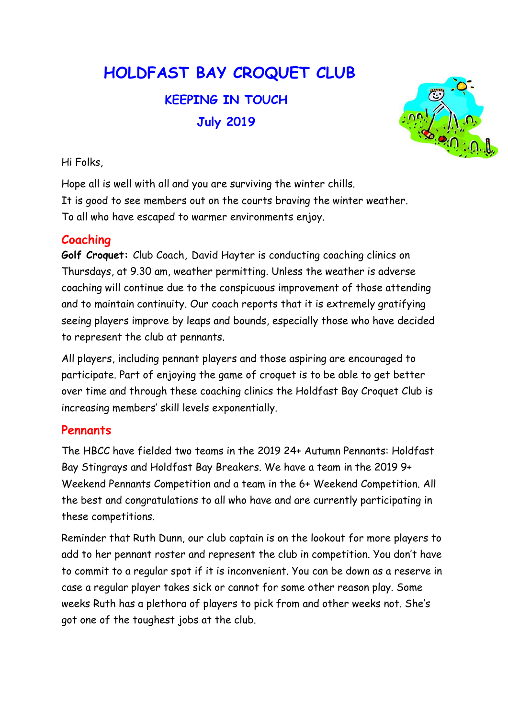# HOLDFAST BAY CROQUET CLUB KEEPING IN TOUCH

July 2019



Hi Folks,

Hope all is well with all and you are surviving the winter chills. It is good to see members out on the courts braving the winter weather. To all who have escaped to warmer environments enjoy.

# Coaching

Golf Croquet: Club Coach, David Hayter is conducting coaching clinics on Thursdays, at 9.30 am, weather permitting. Unless the weather is adverse coaching will continue due to the conspicuous improvement of those attending and to maintain continuity. Our coach reports that it is extremely gratifying seeing players improve by leaps and bounds, especially those who have decided to represent the club at pennants.

All players, including pennant players and those aspiring are encouraged to participate. Part of enjoying the game of croquet is to be able to get better over time and through these coaching clinics the Holdfast Bay Croquet Club is increasing members' skill levels exponentially.

# **Pennants**

The HBCC have fielded two teams in the 2019 24+ Autumn Pennants: Holdfast Bay Stingrays and Holdfast Bay Breakers. We have a team in the 2019 9+ Weekend Pennants Competition and a team in the 6+ Weekend Competition. All the best and congratulations to all who have and are currently participating in these competitions.

Reminder that Ruth Dunn, our club captain is on the lookout for more players to add to her pennant roster and represent the club in competition. You don't have to commit to a regular spot if it is inconvenient. You can be down as a reserve in case a regular player takes sick or cannot for some other reason play. Some weeks Ruth has a plethora of players to pick from and other weeks not. She's got one of the toughest jobs at the club.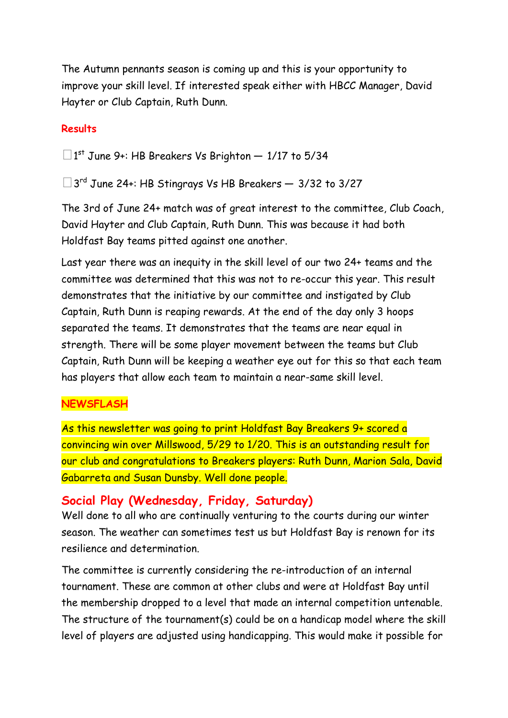The Autumn pennants season is coming up and this is your opportunity to improve your skill level. If interested speak either with HBCC Manager, David Hayter or Club Captain, Ruth Dunn.

#### **Results**

 $\square$ 1<sup>st</sup> June 9+: HB Breakers Vs Brighton – 1/17 to 5/34

□ 3<sup>rd</sup> June 24+: HB Stingrays Vs HB Breakers – 3/32 to 3/27

The 3rd of June 24+ match was of great interest to the committee, Club Coach, David Hayter and Club Captain, Ruth Dunn. This was because it had both Holdfast Bay teams pitted against one another.

Last year there was an inequity in the skill level of our two 24+ teams and the committee was determined that this was not to re-occur this year. This result demonstrates that the initiative by our committee and instigated by Club Captain, Ruth Dunn is reaping rewards. At the end of the day only 3 hoops separated the teams. It demonstrates that the teams are near equal in strength. There will be some player movement between the teams but Club Captain, Ruth Dunn will be keeping a weather eye out for this so that each team has players that allow each team to maintain a near-same skill level.

#### NEWSFLASH

As this newsletter was going to print Holdfast Bay Breakers 9+ scored a convincing win over Millswood, 5/29 to 1/20. This is an outstanding result for our club and congratulations to Breakers players: Ruth Dunn, Marion Sala, David Gabarreta and Susan Dunsby. Well done people.

#### Social Play (Wednesday, Friday, Saturday)

Well done to all who are continually venturing to the courts during our winter season. The weather can sometimes test us but Holdfast Bay is renown for its resilience and determination.

The committee is currently considering the re-introduction of an internal tournament. These are common at other clubs and were at Holdfast Bay until the membership dropped to a level that made an internal competition untenable. The structure of the tournament(s) could be on a handicap model where the skill level of players are adjusted using handicapping. This would make it possible for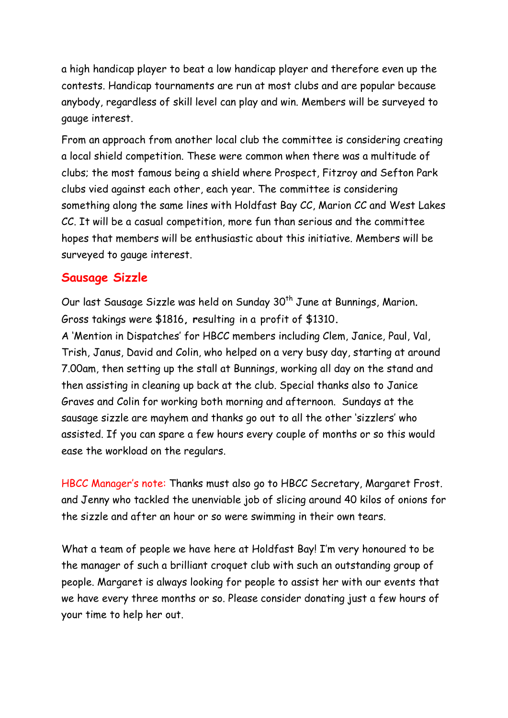a high handicap player to beat a low handicap player and therefore even up the contests. Handicap tournaments are run at most clubs and are popular because anybody, regardless of skill level can play and win. Members will be surveyed to gauge interest.

From an approach from another local club the committee is considering creating a local shield competition. These were common when there was a multitude of clubs; the most famous being a shield where Prospect, Fitzroy and Sefton Park clubs vied against each other, each year. The committee is considering something along the same lines with Holdfast Bay CC, Marion CC and West Lakes CC. It will be a casual competition, more fun than serious and the committee hopes that members will be enthusiastic about this initiative. Members will be surveyed to gauge interest.

# Sausage Sizzle

Our last Sausage Sizzle was held on Sunday 30<sup>th</sup> June at Bunnings, Marion. Gross takings were \$1816, resulting in a profit of \$1310.

A 'Mention in Dispatches' for HBCC members including Clem, Janice, Paul, Val, Trish, Janus, David and Colin, who helped on a very busy day, starting at around 7.00am, then setting up the stall at Bunnings, working all day on the stand and then assisting in cleaning up back at the club. Special thanks also to Janice Graves and Colin for working both morning and afternoon. Sundays at the sausage sizzle are mayhem and thanks go out to all the other 'sizzlers' who assisted. If you can spare a few hours every couple of months or so this would ease the workload on the regulars.

HBCC Manager's note: Thanks must also go to HBCC Secretary, Margaret Frost. and Jenny who tackled the unenviable job of slicing around 40 kilos of onions for the sizzle and after an hour or so were swimming in their own tears.

What a team of people we have here at Holdfast Bay! I'm very honoured to be the manager of such a brilliant croquet club with such an outstanding group of people. Margaret is always looking for people to assist her with our events that we have every three months or so. Please consider donating just a few hours of your time to help her out.